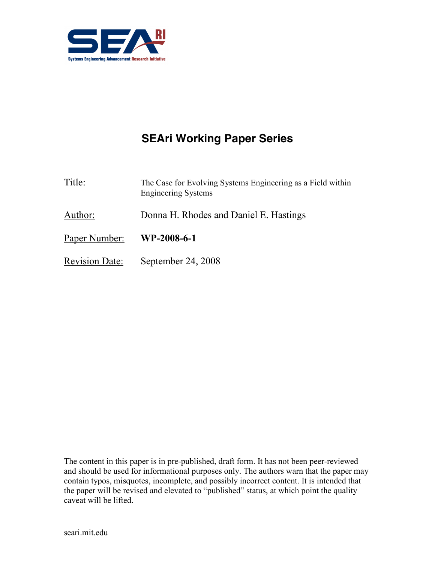

# SEAri Working Paper Series

| Title:                    | The Case for Evolving Systems Engineering as a Field within<br><b>Engineering Systems</b><br>Donna H. Rhodes and Daniel E. Hastings |  |
|---------------------------|-------------------------------------------------------------------------------------------------------------------------------------|--|
| Author:                   |                                                                                                                                     |  |
| Paper Number: WP-2008-6-1 |                                                                                                                                     |  |
| <b>Revision Date:</b>     | September 24, 2008                                                                                                                  |  |

The content in this paper is in pre-published, draft form. It has not been peer-reviewed and should be used for informational purposes only. The authors warn that the paper may contain typos, misquotes, incomplete, and possibly incorrect content. It is intended that the paper will be revised and elevated to "published" status, at which point the quality caveat will be lifted.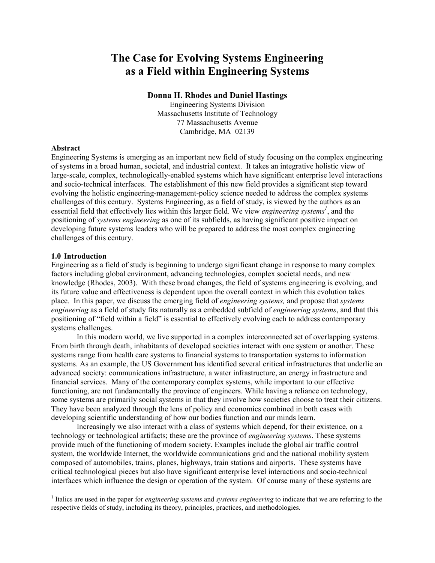## The Case for Evolving Systems Engineering as a Field within Engineering Systems

## Donna H. Rhodes and Daniel Hastings

Engineering Systems Division Massachusetts Institute of Technology 77 Massachusetts Avenue Cambridge, MA 02139

#### Abstract

Engineering Systems is emerging as an important new field of study focusing on the complex engineering of systems in a broad human, societal, and industrial context. It takes an integrative holistic view of large-scale, complex, technologically-enabled systems which have significant enterprise level interactions and socio-technical interfaces. The establishment of this new field provides a significant step toward evolving the holistic engineering-management-policy science needed to address the complex systems challenges of this century. Systems Engineering, as a field of study, is viewed by the authors as an essential field that effectively lies within this larger field. We view *engineering systems<sup>1</sup>* , and the positioning of *systems engineering* as one of its subfields, as having significant positive impact on developing future systems leaders who will be prepared to address the most complex engineering challenges of this century.

#### 1.0 Introduction

 $\overline{a}$ 

Engineering as a field of study is beginning to undergo significant change in response to many complex factors including global environment, advancing technologies, complex societal needs, and new knowledge (Rhodes, 2003). With these broad changes, the field of systems engineering is evolving, and its future value and effectiveness is dependent upon the overall context in which this evolution takes place. In this paper, we discuss the emerging field of *engineering systems,* and propose that *systems engineering* as a field of study fits naturally as a embedded subfield of *engineering systems*, and that this positioning of "field within a field" is essential to effectively evolving each to address contemporary systems challenges.

In this modern world, we live supported in a complex interconnected set of overlapping systems. From birth through death, inhabitants of developed societies interact with one system or another. These systems range from health care systems to financial systems to transportation systems to information systems. As an example, the US Government has identified several critical infrastructures that underlie an advanced society: communications infrastructure, a water infrastructure, an energy infrastructure and financial services. Many of the contemporary complex systems, while important to our effective functioning, are not fundamentally the province of engineers. While having a reliance on technology, some systems are primarily social systems in that they involve how societies choose to treat their citizens. They have been analyzed through the lens of policy and economics combined in both cases with developing scientific understanding of how our bodies function and our minds learn.

Increasingly we also interact with a class of systems which depend, for their existence, on a technology or technological artifacts; these are the province of *engineering systems*. These systems provide much of the functioning of modern society. Examples include the global air traffic control system, the worldwide Internet, the worldwide communications grid and the national mobility system composed of automobiles, trains, planes, highways, train stations and airports. These systems have critical technological pieces but also have significant enterprise level interactions and socio-technical interfaces which influence the design or operation of the system. Of course many of these systems are

<sup>&</sup>lt;sup>1</sup> Italics are used in the paper for *engineering systems* and *systems engineering* to indicate that we are referring to the respective fields of study, including its theory, principles, practices, and methodologies.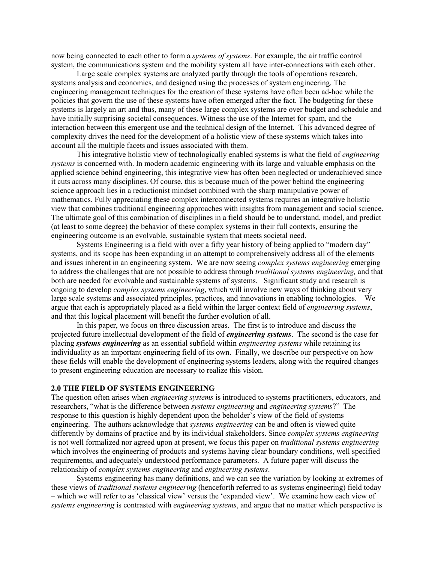now being connected to each other to form a *systems of systems*. For example, the air traffic control system, the communications system and the mobility system all have inter-connections with each other.

Large scale complex systems are analyzed partly through the tools of operations research, systems analysis and economics, and designed using the processes of system engineering. The engineering management techniques for the creation of these systems have often been ad-hoc while the policies that govern the use of these systems have often emerged after the fact. The budgeting for these systems is largely an art and thus, many of these large complex systems are over budget and schedule and have initially surprising societal consequences. Witness the use of the Internet for spam, and the interaction between this emergent use and the technical design of the Internet. This advanced degree of complexity drives the need for the development of a holistic view of these systems which takes into account all the multiple facets and issues associated with them.

This integrative holistic view of technologically enabled systems is what the field of *engineering systems* is concerned with. In modern academic engineering with its large and valuable emphasis on the applied science behind engineering, this integrative view has often been neglected or underachieved since it cuts across many disciplines. Of course, this is because much of the power behind the engineering science approach lies in a reductionist mindset combined with the sharp manipulative power of mathematics. Fully appreciating these complex interconnected systems requires an integrative holistic view that combines traditional engineering approaches with insights from management and social science. The ultimate goal of this combination of disciplines in a field should be to understand, model, and predict (at least to some degree) the behavior of these complex systems in their full contexts, ensuring the engineering outcome is an evolvable, sustainable system that meets societal need.

Systems Engineering is a field with over a fifty year history of being applied to "modern day" systems, and its scope has been expanding in an attempt to comprehensively address all of the elements and issues inherent in an engineering system. We are now seeing *complex systems engineering* emerging to address the challenges that are not possible to address through *traditional systems engineering,* and that both are needed for evolvable and sustainable systems of systems*.* Significant study and research is ongoing to develop *complex systems engineering*, which will involve new ways of thinking about very large scale systems and associated principles, practices, and innovations in enabling technologies. We argue that each is appropriately placed as a field within the larger context field of *engineering systems*, and that this logical placement will benefit the further evolution of all.

In this paper, we focus on three discussion areas. The first is to introduce and discuss the projected future intellectual development of the field of *engineering systems*. The second is the case for placing systems engineering as an essential subfield within *engineering systems* while retaining its individuality as an important engineering field of its own. Finally, we describe our perspective on how these fields will enable the development of engineering systems leaders, along with the required changes to present engineering education are necessary to realize this vision.

## 2.0 THE FIELD OF SYSTEMS ENGINEERING

The question often arises when *engineering systems* is introduced to systems practitioners, educators, and researchers, "what is the difference between *systems engineering* and *engineering systems*?" The response to this question is highly dependent upon the beholder's view of the field of systems engineering. The authors acknowledge that *systems engineering* can be and often is viewed quite differently by domains of practice and by its individual stakeholders. Since *complex systems engineering* is not well formalized nor agreed upon at present, we focus this paper on *traditional systems engineering* which involves the engineering of products and systems having clear boundary conditions, well specified requirements, and adequately understood performance parameters. A future paper will discuss the relationship of *complex systems engineering* and *engineering systems*.

Systems engineering has many definitions, and we can see the variation by looking at extremes of these views of *traditional systems engineering* (henceforth referred to as systems engineering) field today – which we will refer to as 'classical view' versus the 'expanded view'. We examine how each view of *systems engineering* is contrasted with *engineering systems*, and argue that no matter which perspective is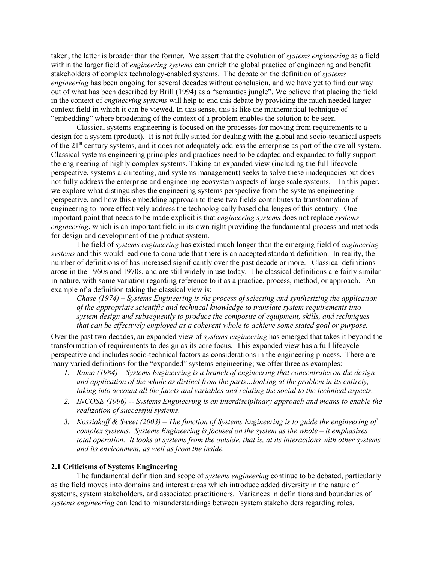taken, the latter is broader than the former. We assert that the evolution of *systems engineering* as a field within the larger field of *engineering systems* can enrich the global practice of engineering and benefit stakeholders of complex technology-enabled systems. The debate on the definition of *systems engineering* has been ongoing for several decades without conclusion, and we have yet to find our way out of what has been described by Brill (1994) as a "semantics jungle". We believe that placing the field in the context of *engineering systems* will help to end this debate by providing the much needed larger context field in which it can be viewed. In this sense, this is like the mathematical technique of "embedding" where broadening of the context of a problem enables the solution to be seen.

Classical systems engineering is focused on the processes for moving from requirements to a design for a system (product). It is not fully suited for dealing with the global and socio-technical aspects of the  $21<sup>st</sup>$  century systems, and it does not adequately address the enterprise as part of the overall system. Classical systems engineering principles and practices need to be adapted and expanded to fully support the engineering of highly complex systems. Taking an expanded view (including the full lifecycle perspective, systems architecting, and systems management) seeks to solve these inadequacies but does not fully address the enterprise and engineering ecosystem aspects of large scale systems. In this paper, we explore what distinguishes the engineering systems perspective from the systems engineering perspective, and how this embedding approach to these two fields contributes to transformation of engineering to more effectively address the technologically based challenges of this century. One important point that needs to be made explicit is that *engineering systems* does not replace *systems engineering*, which is an important field in its own right providing the fundamental process and methods for design and development of the product system.

The field of *systems engineering* has existed much longer than the emerging field of *engineering systems* and this would lead one to conclude that there is an accepted standard definition. In reality, the number of definitions of has increased significantly over the past decade or more. Classical definitions arose in the 1960s and 1970s, and are still widely in use today. The classical definitions are fairly similar in nature, with some variation regarding reference to it as a practice, process, method, or approach. An example of a definition taking the classical view is:

*Chase (1974) – Systems Engineering is the process of selecting and synthesizing the application of the appropriate scientific and technical knowledge to translate system requirements into system design* a*nd subsequently to produce the composite of equipment, skills, and techniques that can be effectively employed as a coherent whole to achieve some stated goal or purpose.* 

Over the past two decades, an expanded view of *systems engineering* has emerged that takes it beyond the transformation of requirements to design as its core focus. This expanded view has a full lifecycle perspective and includes socio-technical factors as considerations in the engineering process. There are many varied definitions for the "expanded" systems engineering; we offer three as examples:

- *1. Ramo (1984) Systems Engineering is a branch of engineering that concentrates on the design and application of the whole as distinct from the parts…looking at the problem in its entirety, taking into account all the facets and variables and relating the social to the technical aspects.*
- *2. INCOSE (1996) -- Systems Engineering is an interdisciplinary approach and means to enable the realization of successful systems.*
- *3. Kossiakoff & Sweet (2003) The function of Systems Engineering is to guide the engineering of complex systems. Systems Engineering is focused on the system as the whole – it emphasizes total operation. It looks at systems from the outside, that is, at its interactions with other systems and its environment, as well as from the inside.*

#### 2.1 Criticisms of Systems Engineering

The fundamental definition and scope of *systems engineering* continue to be debated, particularly as the field moves into domains and interest areas which introduce added diversity in the nature of systems, system stakeholders, and associated practitioners. Variances in definitions and boundaries of *systems engineering* can lead to misunderstandings between system stakeholders regarding roles,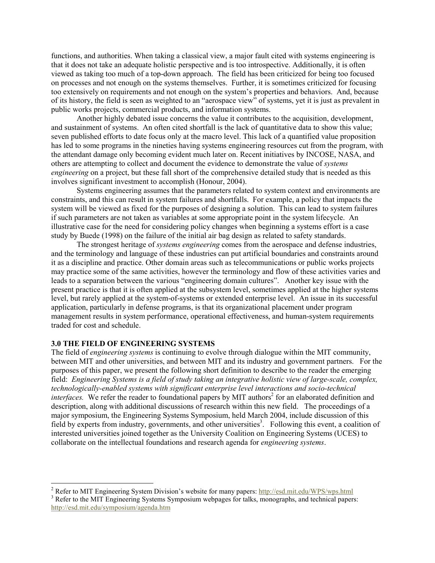functions, and authorities. When taking a classical view, a major fault cited with systems engineering is that it does not take an adequate holistic perspective and is too introspective. Additionally, it is often viewed as taking too much of a top-down approach. The field has been criticized for being too focused on processes and not enough on the systems themselves. Further, it is sometimes criticized for focusing too extensively on requirements and not enough on the system's properties and behaviors. And, because of its history, the field is seen as weighted to an "aerospace view" of systems, yet it is just as prevalent in public works projects, commercial products, and information systems.

Another highly debated issue concerns the value it contributes to the acquisition, development, and sustainment of systems. An often cited shortfall is the lack of quantitative data to show this value; seven published efforts to date focus only at the macro level. This lack of a quantified value proposition has led to some programs in the nineties having systems engineering resources cut from the program, with the attendant damage only becoming evident much later on. Recent initiatives by INCOSE, NASA, and others are attempting to collect and document the evidence to demonstrate the value of *systems engineering* on a project, but these fall short of the comprehensive detailed study that is needed as this involves significant investment to accomplish (Honour, 2004).

Systems engineering assumes that the parameters related to system context and environments are constraints, and this can result in system failures and shortfalls. For example, a policy that impacts the system will be viewed as fixed for the purposes of designing a solution. This can lead to system failures if such parameters are not taken as variables at some appropriate point in the system lifecycle. An illustrative case for the need for considering policy changes when beginning a systems effort is a case study by Buede (1998) on the failure of the initial air bag design as related to safety standards.

The strongest heritage of *systems engineering* comes from the aerospace and defense industries, and the terminology and language of these industries can put artificial boundaries and constraints around it as a discipline and practice. Other domain areas such as telecommunications or public works projects may practice some of the same activities, however the terminology and flow of these activities varies and leads to a separation between the various "engineering domain cultures". Another key issue with the present practice is that it is often applied at the subsystem level, sometimes applied at the higher systems level, but rarely applied at the system-of-systems or extended enterprise level. An issue in its successful application, particularly in defense programs, is that its organizational placement under program management results in system performance, operational effectiveness, and human-system requirements traded for cost and schedule.

#### 3.0 THE FIELD OF ENGINEERING SYSTEMS

The field of *engineering systems* is continuing to evolve through dialogue within the MIT community, between MIT and other universities, and between MIT and its industry and government partners. For the purposes of this paper, we present the following short definition to describe to the reader the emerging field: *Engineering Systems is a field of study taking an integrative holistic view of large-scale, complex, technologically-enabled systems with significant enterprise level interactions and socio-technical interfaces*. We refer the reader to foundational papers by MIT authors<sup>2</sup> for an elaborated definition and description, along with additional discussions of research within this new field. The proceedings of a major symposium, the Engineering Systems Symposium, held March 2004, include discussion of this field by experts from industry, governments, and other universities<sup>3</sup>. Following this event, a coalition of interested universities joined together as the University Coalition on Engineering Systems (UCES) to collaborate on the intellectual foundations and research agenda for *engineering systems*.

 $\overline{a}$ <sup>2</sup> Refer to MIT Engineering System Division's website for many papers: http://esd.mit.edu/WPS/wps.html

<sup>&</sup>lt;sup>3</sup> Refer to the MIT Engineering Systems Symposium webpages for talks, monographs, and technical papers: http://esd.mit.edu/symposium/agenda.htm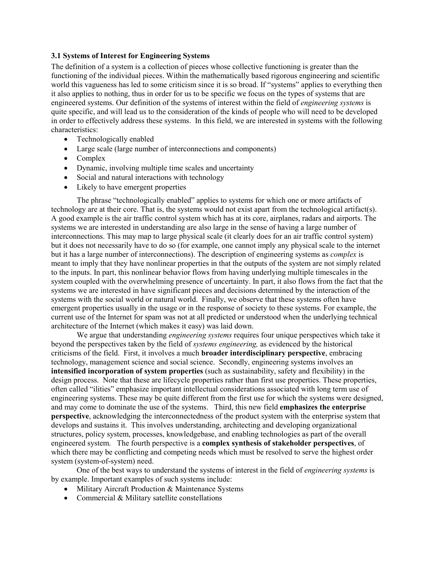#### 3.1 Systems of Interest for Engineering Systems

The definition of a system is a collection of pieces whose collective functioning is greater than the functioning of the individual pieces. Within the mathematically based rigorous engineering and scientific world this vagueness has led to some criticism since it is so broad. If "systems" applies to everything then it also applies to nothing, thus in order for us to be specific we focus on the types of systems that are engineered systems. Our definition of the systems of interest within the field of *engineering systems* is quite specific, and will lead us to the consideration of the kinds of people who will need to be developed in order to effectively address these systems. In this field, we are interested in systems with the following characteristics:

- Technologically enabled
- Large scale (large number of interconnections and components)
- Complex
- Dynamic, involving multiple time scales and uncertainty
- Social and natural interactions with technology
- Likely to have emergent properties

The phrase "technologically enabled" applies to systems for which one or more artifacts of technology are at their core. That is, the systems would not exist apart from the technological artifact(s). A good example is the air traffic control system which has at its core, airplanes, radars and airports. The systems we are interested in understanding are also large in the sense of having a large number of interconnections. This may map to large physical scale (it clearly does for an air traffic control system) but it does not necessarily have to do so (for example, one cannot imply any physical scale to the internet but it has a large number of interconnections). The description of engineering systems as *complex* is meant to imply that they have nonlinear properties in that the outputs of the system are not simply related to the inputs. In part, this nonlinear behavior flows from having underlying multiple timescales in the system coupled with the overwhelming presence of uncertainty. In part, it also flows from the fact that the systems we are interested in have significant pieces and decisions determined by the interaction of the systems with the social world or natural world. Finally, we observe that these systems often have emergent properties usually in the usage or in the response of society to these systems. For example, the current use of the Internet for spam was not at all predicted or understood when the underlying technical architecture of the Internet (which makes it easy) was laid down.

We argue that understanding *engineering systems* requires four unique perspectives which take it beyond the perspectives taken by the field of *systems engineering,* as evidenced by the historical criticisms of the field. First, it involves a much broader interdisciplinary perspective, embracing technology, management science and social science. Secondly, engineering systems involves an intensified incorporation of system properties (such as sustainability, safety and flexibility) in the design process. Note that these are lifecycle properties rather than first use properties. These properties, often called "ilities" emphasize important intellectual considerations associated with long term use of engineering systems. These may be quite different from the first use for which the systems were designed, and may come to dominate the use of the systems. Third, this new field emphasizes the enterprise perspective, acknowledging the interconnectedness of the product system with the enterprise system that develops and sustains it. This involves understanding, architecting and developing organizational structures, policy system, processes, knowledgebase, and enabling technologies as part of the overall engineered system. The fourth perspective is a complex synthesis of stakeholder perspectives, of which there may be conflicting and competing needs which must be resolved to serve the highest order system (system-of-system) need.

One of the best ways to understand the systems of interest in the field of *engineering systems* is by example. Important examples of such systems include:

- Military Aircraft Production & Maintenance Systems
- Commercial & Military satellite constellations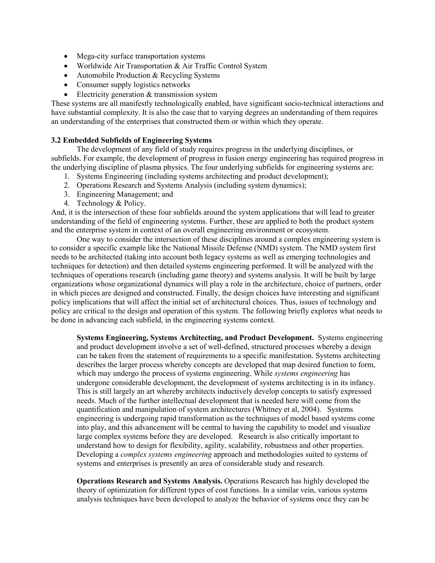- Mega-city surface transportation systems
- Worldwide Air Transportation & Air Traffic Control System
- Automobile Production & Recycling Systems
- Consumer supply logistics networks
- Electricity generation & transmission system

These systems are all manifestly technologically enabled, have significant socio-technical interactions and have substantial complexity. It is also the case that to varying degrees an understanding of them requires an understanding of the enterprises that constructed them or within which they operate.

#### 3.2 Embedded Subfields of Engineering Systems

The development of any field of study requires progress in the underlying disciplines, or subfields. For example, the development of progress in fusion energy engineering has required progress in the underlying discipline of plasma physics. The four underlying subfields for engineering systems are:

- 1. Systems Engineering (including systems architecting and product development);
- 2. Operations Research and Systems Analysis (including system dynamics);
- 3. Engineering Management; and
- 4. Technology & Policy.

And, it is the intersection of these four subfields around the system applications that will lead to greater understanding of the field of engineering systems. Further, these are applied to both the product system and the enterprise system in context of an overall engineering environment or ecosystem.

One way to consider the intersection of these disciplines around a complex engineering system is to consider a specific example like the National Missile Defense (NMD) system. The NMD system first needs to be architected (taking into account both legacy systems as well as emerging technologies and techniques for detection) and then detailed systems engineering performed. It will be analyzed with the techniques of operations research (including game theory) and systems analysis. It will be built by large organizations whose organizational dynamics will play a role in the architecture, choice of partners, order in which pieces are designed and constructed. Finally, the design choices have interesting and significant policy implications that will affect the initial set of architectural choices. Thus, issues of technology and policy are critical to the design and operation of this system. The following briefly explores what needs to be done in advancing each subfield, in the engineering systems context.

Systems Engineering, Systems Architecting, and Product Development. Systems engineering and product development involve a set of well-defined, structured processes whereby a design can be taken from the statement of requirements to a specific manifestation. Systems architecting describes the larger process whereby concepts are developed that map desired function to form, which may undergo the process of systems engineering. While *systems engineering* has undergone considerable development, the development of systems architecting is in its infancy. This is still largely an art whereby architects inductively develop concepts to satisfy expressed needs. Much of the further intellectual development that is needed here will come from the quantification and manipulation of system architectures (Whitney et al, 2004). Systems engineering is undergoing rapid transformation as the techniques of model based systems come into play, and this advancement will be central to having the capability to model and visualize large complex systems before they are developed. Research is also critically important to understand how to design for flexibility, agility, scalability, robustness and other properties. Developing a *complex systems engineering* approach and methodologies suited to systems of systems and enterprises is presently an area of considerable study and research.

Operations Research and Systems Analysis. Operations Research has highly developed the theory of optimization for different types of cost functions. In a similar vein, various systems analysis techniques have been developed to analyze the behavior of systems once they can be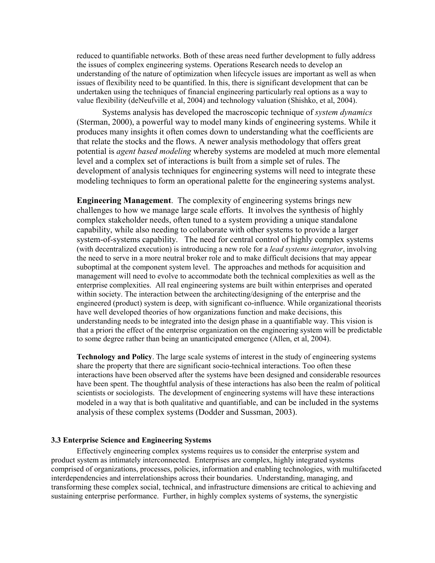reduced to quantifiable networks. Both of these areas need further development to fully address the issues of complex engineering systems. Operations Research needs to develop an understanding of the nature of optimization when lifecycle issues are important as well as when issues of flexibility need to be quantified. In this, there is significant development that can be undertaken using the techniques of financial engineering particularly real options as a way to value flexibility (deNeufville et al, 2004) and technology valuation (Shishko, et al, 2004).

Systems analysis has developed the macroscopic technique of *system dynamics*  (Sterman, 2000), a powerful way to model many kinds of engineering systems. While it produces many insights it often comes down to understanding what the coefficients are that relate the stocks and the flows. A newer analysis methodology that offers great potential is *agent based modeling* whereby systems are modeled at much more elemental level and a complex set of interactions is built from a simple set of rules. The development of analysis techniques for engineering systems will need to integrate these modeling techniques to form an operational palette for the engineering systems analyst.

Engineering Management. The complexity of engineering systems brings new challenges to how we manage large scale efforts. It involves the synthesis of highly complex stakeholder needs, often tuned to a system providing a unique standalone capability, while also needing to collaborate with other systems to provide a larger system-of-systems capability. The need for central control of highly complex systems (with decentralized execution) is introducing a new role for a *lead systems integrator*, involving the need to serve in a more neutral broker role and to make difficult decisions that may appear suboptimal at the component system level. The approaches and methods for acquisition and management will need to evolve to accommodate both the technical complexities as well as the enterprise complexities. All real engineering systems are built within enterprises and operated within society. The interaction between the architecting/designing of the enterprise and the engineered (product) system is deep, with significant co-influence. While organizational theorists have well developed theories of how organizations function and make decisions, this understanding needs to be integrated into the design phase in a quantifiable way. This vision is that a priori the effect of the enterprise organization on the engineering system will be predictable to some degree rather than being an unanticipated emergence (Allen, et al, 2004).

**Technology and Policy**. The large scale systems of interest in the study of engineering systems share the property that there are significant socio-technical interactions. Too often these interactions have been observed after the systems have been designed and considerable resources have been spent. The thoughtful analysis of these interactions has also been the realm of political scientists or sociologists. The development of engineering systems will have these interactions modeled in a way that is both qualitative and quantifiable, and can be included in the systems analysis of these complex systems (Dodder and Sussman, 2003).

#### 3.3 Enterprise Science and Engineering Systems

Effectively engineering complex systems requires us to consider the enterprise system and product system as intimately interconnected. Enterprises are complex, highly integrated systems comprised of organizations, processes, policies, information and enabling technologies, with multifaceted interdependencies and interrelationships across their boundaries. Understanding, managing, and transforming these complex social, technical, and infrastructure dimensions are critical to achieving and sustaining enterprise performance. Further, in highly complex systems of systems, the synergistic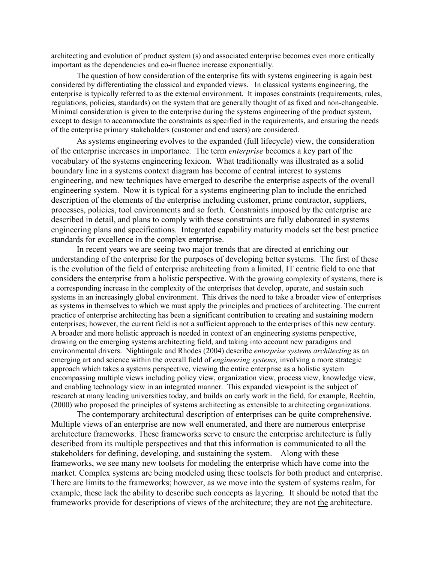architecting and evolution of product system (s) and associated enterprise becomes even more critically important as the dependencies and co-influence increase exponentially.

The question of how consideration of the enterprise fits with systems engineering is again best considered by differentiating the classical and expanded views. In classical systems engineering, the enterprise is typically referred to as the external environment. It imposes constraints (requirements, rules, regulations, policies, standards) on the system that are generally thought of as fixed and non-changeable. Minimal consideration is given to the enterprise during the systems engineering of the product system, except to design to accommodate the constraints as specified in the requirements, and ensuring the needs of the enterprise primary stakeholders (customer and end users) are considered.

As systems engineering evolves to the expanded (full lifecycle) view, the consideration of the enterprise increases in importance. The term *enterprise* becomes a key part of the vocabulary of the systems engineering lexicon. What traditionally was illustrated as a solid boundary line in a systems context diagram has become of central interest to systems engineering, and new techniques have emerged to describe the enterprise aspects of the overall engineering system. Now it is typical for a systems engineering plan to include the enriched description of the elements of the enterprise including customer, prime contractor, suppliers, processes, policies, tool environments and so forth. Constraints imposed by the enterprise are described in detail, and plans to comply with these constraints are fully elaborated in systems engineering plans and specifications. Integrated capability maturity models set the best practice standards for excellence in the complex enterprise.

In recent years we are seeing two major trends that are directed at enriching our understanding of the enterprise for the purposes of developing better systems. The first of these is the evolution of the field of enterprise architecting from a limited, IT centric field to one that considers the enterprise from a holistic perspective. With the growing complexity of systems, there is a corresponding increase in the complexity of the enterprises that develop, operate, and sustain such systems in an increasingly global environment. This drives the need to take a broader view of enterprises as systems in themselves to which we must apply the principles and practices of architecting. The current practice of enterprise architecting has been a significant contribution to creating and sustaining modern enterprises; however, the current field is not a sufficient approach to the enterprises of this new century. A broader and more holistic approach is needed in context of an engineering systems perspective, drawing on the emerging systems architecting field, and taking into account new paradigms and environmental drivers. Nightingale and Rhodes (2004) describe *enterprise systems architecting* as an emerging art and science within the overall field of *engineering systems,* involving a more strategic approach which takes a systems perspective, viewing the entire enterprise as a holistic system encompassing multiple views including policy view, organization view, process view, knowledge view, and enabling technology view in an integrated manner. This expanded viewpoint is the subject of research at many leading universities today, and builds on early work in the field, for example, Rechtin, (2000) who proposed the principles of systems architecting as extensible to architecting organizations.

The contemporary architectural description of enterprises can be quite comprehensive. Multiple views of an enterprise are now well enumerated, and there are numerous enterprise architecture frameworks. These frameworks serve to ensure the enterprise architecture is fully described from its multiple perspectives and that this information is communicated to all the stakeholders for defining, developing, and sustaining the system. Along with these frameworks, we see many new toolsets for modeling the enterprise which have come into the market. Complex systems are being modeled using these toolsets for both product and enterprise. There are limits to the frameworks; however, as we move into the system of systems realm, for example, these lack the ability to describe such concepts as layering. It should be noted that the frameworks provide for descriptions of views of the architecture; they are not the architecture.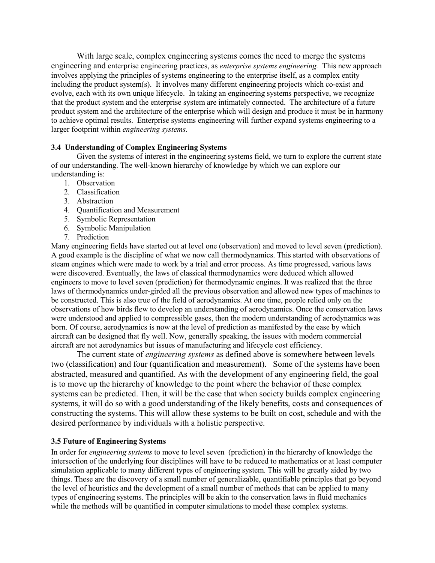With large scale, complex engineering systems comes the need to merge the systems engineering and enterprise engineering practices, as *enterprise systems engineering.* This new approach involves applying the principles of systems engineering to the enterprise itself, as a complex entity including the product system(s). It involves many different engineering projects which co-exist and evolve, each with its own unique lifecycle. In taking an engineering systems perspective, we recognize that the product system and the enterprise system are intimately connected. The architecture of a future product system and the architecture of the enterprise which will design and produce it must be in harmony to achieve optimal results. Enterprise systems engineering will further expand systems engineering to a larger footprint within *engineering systems.* 

## 3.4 Understanding of Complex Engineering Systems

Given the systems of interest in the engineering systems field, we turn to explore the current state of our understanding. The well-known hierarchy of knowledge by which we can explore our understanding is:

- 1. Observation
- 2. Classification
- 3. Abstraction
- 4. Quantification and Measurement
- 5. Symbolic Representation
- 6. Symbolic Manipulation
- 7. Prediction

Many engineering fields have started out at level one (observation) and moved to level seven (prediction). A good example is the discipline of what we now call thermodynamics. This started with observations of steam engines which were made to work by a trial and error process. As time progressed, various laws were discovered. Eventually, the laws of classical thermodynamics were deduced which allowed engineers to move to level seven (prediction) for thermodynamic engines. It was realized that the three laws of thermodynamics under-girded all the previous observation and allowed new types of machines to be constructed. This is also true of the field of aerodynamics. At one time, people relied only on the observations of how birds flew to develop an understanding of aerodynamics. Once the conservation laws were understood and applied to compressible gases, then the modern understanding of aerodynamics was born. Of course, aerodynamics is now at the level of prediction as manifested by the ease by which aircraft can be designed that fly well. Now, generally speaking, the issues with modern commercial aircraft are not aerodynamics but issues of manufacturing and lifecycle cost efficiency.

The current state of *engineering systems* as defined above is somewhere between levels two (classification) and four (quantification and measurement). Some of the systems have been abstracted, measured and quantified. As with the development of any engineering field, the goal is to move up the hierarchy of knowledge to the point where the behavior of these complex systems can be predicted. Then, it will be the case that when society builds complex engineering systems, it will do so with a good understanding of the likely benefits, costs and consequences of constructing the systems. This will allow these systems to be built on cost, schedule and with the desired performance by individuals with a holistic perspective.

## 3.5 Future of Engineering Systems

In order for *engineering systems* to move to level seven (prediction) in the hierarchy of knowledge the intersection of the underlying four disciplines will have to be reduced to mathematics or at least computer simulation applicable to many different types of engineering system. This will be greatly aided by two things. These are the discovery of a small number of generalizable, quantifiable principles that go beyond the level of heuristics and the development of a small number of methods that can be applied to many types of engineering systems. The principles will be akin to the conservation laws in fluid mechanics while the methods will be quantified in computer simulations to model these complex systems.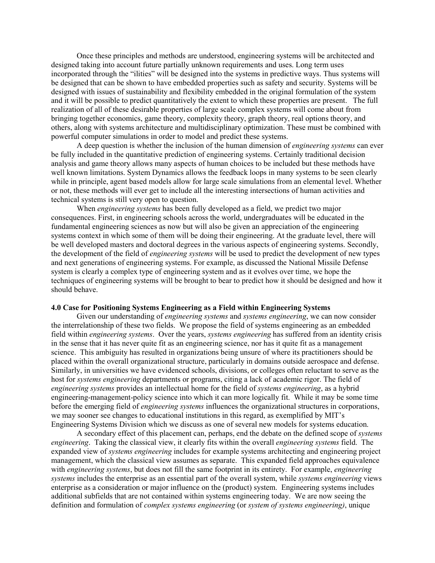Once these principles and methods are understood, engineering systems will be architected and designed taking into account future partially unknown requirements and uses. Long term uses incorporated through the "ilities" will be designed into the systems in predictive ways. Thus systems will be designed that can be shown to have embedded properties such as safety and security. Systems will be designed with issues of sustainability and flexibility embedded in the original formulation of the system and it will be possible to predict quantitatively the extent to which these properties are present. The full realization of all of these desirable properties of large scale complex systems will come about from bringing together economics, game theory, complexity theory, graph theory, real options theory, and others, along with systems architecture and multidisciplinary optimization. These must be combined with powerful computer simulations in order to model and predict these systems.

A deep question is whether the inclusion of the human dimension of *engineering systems* can ever be fully included in the quantitative prediction of engineering systems. Certainly traditional decision analysis and game theory allows many aspects of human choices to be included but these methods have well known limitations. System Dynamics allows the feedback loops in many systems to be seen clearly while in principle, agent based models allow for large scale simulations from an elemental level. Whether or not, these methods will ever get to include all the interesting intersections of human activities and technical systems is still very open to question.

When *engineering systems* has been fully developed as a field, we predict two major consequences. First, in engineering schools across the world, undergraduates will be educated in the fundamental engineering sciences as now but will also be given an appreciation of the engineering systems context in which some of them will be doing their engineering. At the graduate level, there will be well developed masters and doctoral degrees in the various aspects of engineering systems. Secondly, the development of the field of *engineering systems* will be used to predict the development of new types and next generations of engineering systems. For example, as discussed the National Missile Defense system is clearly a complex type of engineering system and as it evolves over time, we hope the techniques of engineering systems will be brought to bear to predict how it should be designed and how it should behave.

#### 4.0 Case for Positioning Systems Engineering as a Field within Engineering Systems

Given our understanding of *engineering systems* and *systems engineering*, we can now consider the interrelationship of these two fields. We propose the field of systems engineering as an embedded field within *engineering systems*. Over the years, *systems engineering* has suffered from an identity crisis in the sense that it has never quite fit as an engineering science, nor has it quite fit as a management science. This ambiguity has resulted in organizations being unsure of where its practitioners should be placed within the overall organizational structure, particularly in domains outside aerospace and defense. Similarly, in universities we have evidenced schools, divisions, or colleges often reluctant to serve as the host for *systems engineering* departments or programs, citing a lack of academic rigor. The field of *engineering systems* provides an intellectual home for the field of *systems engineering*, as a hybrid engineering-management-policy science into which it can more logically fit. While it may be some time before the emerging field of *engineering systems* influences the organizational structures in corporations, we may sooner see changes to educational institutions in this regard, as exemplified by MIT's Engineering Systems Division which we discuss as one of several new models for systems education.

A secondary effect of this placement can, perhaps, end the debate on the defined scope of *systems engineering*.Taking the classical view, it clearly fits within the overall *engineering systems* field. The expanded view of *systems engineering* includes for example systems architecting and engineering project management, which the classical view assumes as separate. This expanded field approaches equivalence with *engineering systems*, but does not fill the same footprint in its entirety. For example, *engineering systems* includes the enterprise as an essential part of the overall system, while *systems engineering* views enterprise as a consideration or major influence on the (product) system. Engineering systems includes additional subfields that are not contained within systems engineering today. We are now seeing the definition and formulation of *complex systems engineering* (or *system of systems engineering)*, unique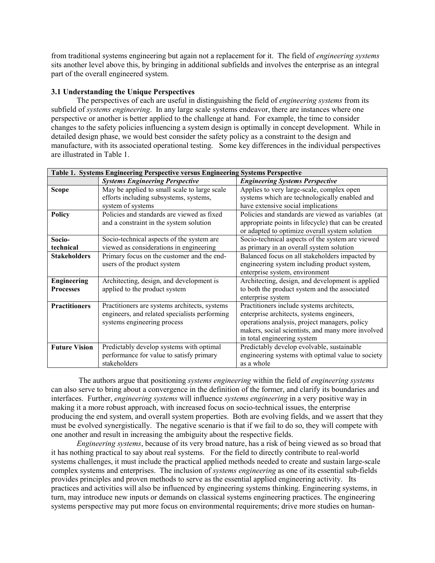from traditional systems engineering but again not a replacement for it. The field of *engineering systems* sits another level above this, by bringing in additional subfields and involves the enterprise as an integral part of the overall engineered system.

## 3.1 Understanding the Unique Perspectives

The perspectives of each are useful in distinguishing the field of *engineering systems* from its subfield of *systems engineering*. In any large scale systems endeavor, there are instances where one perspective or another is better applied to the challenge at hand. For example, the time to consider changes to the safety policies influencing a system design is optimally in concept development. While in detailed design phase, we would best consider the safety policy as a constraint to the design and manufacture, with its associated operational testing. Some key differences in the individual perspectives are illustrated in Table 1.

| Table 1. Systems Engineering Perspective versus Engineering Systems Perspective |                                                                                                                               |                                                                                                                                                                                                                             |  |
|---------------------------------------------------------------------------------|-------------------------------------------------------------------------------------------------------------------------------|-----------------------------------------------------------------------------------------------------------------------------------------------------------------------------------------------------------------------------|--|
|                                                                                 | <b>Systems Engineering Perspective</b>                                                                                        | <b>Engineering Systems Perspective</b>                                                                                                                                                                                      |  |
| <b>Scope</b>                                                                    | May be applied to small scale to large scale<br>efforts including subsystems, systems,<br>system of systems                   | Applies to very large-scale, complex open<br>systems which are technologically enabled and<br>have extensive social implications                                                                                            |  |
| Policy                                                                          | Policies and standards are viewed as fixed<br>and a constraint in the system solution                                         | Policies and standards are viewed as variables (at<br>appropriate points in lifecycle) that can be created<br>or adapted to optimize overall system solution                                                                |  |
| Socio-<br>technical                                                             | Socio-technical aspects of the system are<br>viewed as considerations in engineering                                          | Socio-technical aspects of the system are viewed<br>as primary in an overall system solution                                                                                                                                |  |
| <b>Stakeholders</b>                                                             | Primary focus on the customer and the end-<br>users of the product system                                                     | Balanced focus on all stakeholders impacted by<br>engineering system including product system,<br>enterprise system, environment                                                                                            |  |
| <b>Engineering</b><br><b>Processes</b>                                          | Architecting, design, and development is<br>applied to the product system                                                     | Architecting, design, and development is applied<br>to both the product system and the associated<br>enterprise system                                                                                                      |  |
| <b>Practitioners</b>                                                            | Practitioners are systems architects, systems<br>engineers, and related specialists performing<br>systems engineering process | Practitioners include systems architects,<br>enterprise architects, systems engineers,<br>operations analysis, project managers, policy<br>makers, social scientists, and many more involved<br>in total engineering system |  |
| <b>Future Vision</b>                                                            | Predictably develop systems with optimal<br>performance for value to satisfy primary<br>stakeholders                          | Predictably develop evolvable, sustainable<br>engineering systems with optimal value to society<br>as a whole                                                                                                               |  |

 The authors argue that positioning *systems engineering* within the field of *engineering systems* can also serve to bring about a convergence in the definition of the former, and clarify its boundaries and interfaces. Further, *engineering systems* will influence *systems engineering* in a very positive way in making it a more robust approach, with increased focus on socio-technical issues, the enterprise producing the end system, and overall system properties. Both are evolving fields, and we assert that they must be evolved synergistically. The negative scenario is that if we fail to do so, they will compete with one another and result in increasing the ambiguity about the respective fields.

*Engineering systems*, because of its very broad nature, has a risk of being viewed as so broad that it has nothing practical to say about real systems. For the field to directly contribute to real-world systems challenges, it must include the practical applied methods needed to create and sustain large-scale complex systems and enterprises. The inclusion of *systems engineering* as one of its essential sub-fields provides principles and proven methods to serve as the essential applied engineering activity. Its practices and activities will also be influenced by engineering systems thinking. Engineering systems, in turn, may introduce new inputs or demands on classical systems engineering practices. The engineering systems perspective may put more focus on environmental requirements; drive more studies on human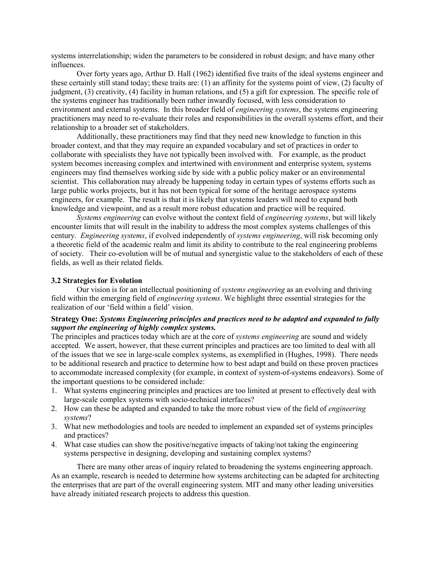systems interrelationship; widen the parameters to be considered in robust design; and have many other influences.

Over forty years ago, Arthur D. Hall (1962) identified five traits of the ideal systems engineer and these certainly still stand today; these traits are: (1) an affinity for the systems point of view, (2) faculty of judgment, (3) creativity, (4) facility in human relations, and (5) a gift for expression. The specific role of the systems engineer has traditionally been rather inwardly focused, with less consideration to environment and external systems. In this broader field of *engineering systems*, the systems engineering practitioners may need to re-evaluate their roles and responsibilities in the overall systems effort, and their relationship to a broader set of stakeholders.

Additionally, these practitioners may find that they need new knowledge to function in this broader context, and that they may require an expanded vocabulary and set of practices in order to collaborate with specialists they have not typically been involved with. For example, as the product system becomes increasing complex and intertwined with environment and enterprise system, systems engineers may find themselves working side by side with a public policy maker or an environmental scientist. This collaboration may already be happening today in certain types of systems efforts such as large public works projects, but it has not been typical for some of the heritage aerospace systems engineers, for example. The result is that it is likely that systems leaders will need to expand both knowledge and viewpoint, and as a result more robust education and practice will be required.

*Systems engineering* can evolve without the context field of *engineering systems*, but will likely encounter limits that will result in the inability to address the most complex systems challenges of this century. *Engineering systems*, if evolved independently of *systems engineering*, will risk becoming only a theoretic field of the academic realm and limit its ability to contribute to the real engineering problems of society. Their co-evolution will be of mutual and synergistic value to the stakeholders of each of these fields, as well as their related fields.

#### 3.2 Strategies for Evolution

Our vision is for an intellectual positioning of *systems engineering* as an evolving and thriving field within the emerging field of *engineering systems*. We highlight three essential strategies for the realization of our 'field within a field' vision.

## Strategy One: Systems Engineering principles and practices need to be adapted and expanded to fully support the engineering of highly complex systems.

The principles and practices today which are at the core of *systems engineering* are sound and widely accepted. We assert, however, that these current principles and practices are too limited to deal with all of the issues that we see in large-scale complex systems, as exemplified in (Hughes, 1998). There needs to be additional research and practice to determine how to best adapt and build on these proven practices to accommodate increased complexity (for example, in context of system-of-systems endeavors). Some of the important questions to be considered include:

- 1. What systems engineering principles and practices are too limited at present to effectively deal with large-scale complex systems with socio-technical interfaces?
- 2. How can these be adapted and expanded to take the more robust view of the field of *engineering systems*?
- 3. What new methodologies and tools are needed to implement an expanded set of systems principles and practices?
- 4. What case studies can show the positive/negative impacts of taking/not taking the engineering systems perspective in designing, developing and sustaining complex systems?

There are many other areas of inquiry related to broadening the systems engineering approach. As an example, research is needed to determine how systems architecting can be adapted for architecting the enterprises that are part of the overall engineering system. MIT and many other leading universities have already initiated research projects to address this question.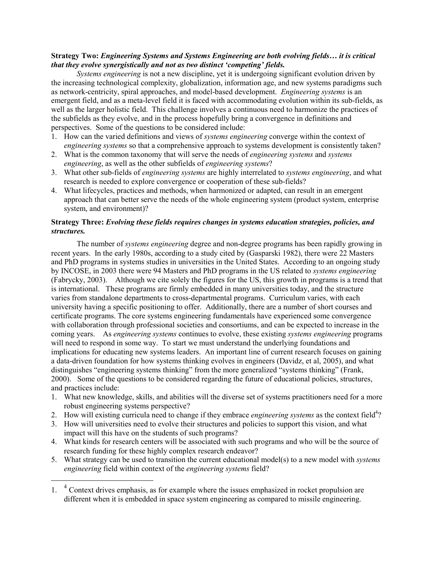## Strategy Two: Engineering Systems and Systems Engineering are both evolving fields… it is critical that they evolve synergistically and not as two distinct 'competing' fields.

*Systems engineering* is not a new discipline, yet it is undergoing significant evolution driven by the increasing technological complexity, globalization, information age, and new systems paradigms such as network-centricity, spiral approaches, and model-based development. *Engineering systems* is an emergent field, and as a meta-level field it is faced with accommodating evolution within its sub-fields, as well as the larger holistic field. This challenge involves a continuous need to harmonize the practices of the subfields as they evolve, and in the process hopefully bring a convergence in definitions and perspectives. Some of the questions to be considered include:

- 1. How can the varied definitions and views of *systems engineering* converge within the context of *engineering systems* so that a comprehensive approach to systems development is consistently taken?
- 2. What is the common taxonomy that will serve the needs of *engineering systems* and *systems engineering*, as well as the other subfields of *engineering systems*?
- 3. What other sub-fields of *engineering systems* are highly interrelated to *systems engineering*, and what research is needed to explore convergence or cooperation of these sub-fields?
- 4. What lifecycles, practices and methods, when harmonized or adapted, can result in an emergent approach that can better serve the needs of the whole engineering system (product system, enterprise system, and environment)?

## Strategy Three: Evolving these fields requires changes in systems education strategies, policies, and structures.

The number of *systems engineering* degree and non-degree programs has been rapidly growing in recent years. In the early 1980s, according to a study cited by (Gasparski 1982), there were 22 Masters and PhD programs in systems studies in universities in the United States. According to an ongoing study by INCOSE, in 2003 there were 94 Masters and PhD programs in the US related to *systems engineering* (Fabrycky, 2003). Although we cite solely the figures for the US, this growth in programs is a trend that is international. These programs are firmly embedded in many universities today, and the structure varies from standalone departments to cross-departmental programs. Curriculum varies, with each university having a specific positioning to offer. Additionally, there are a number of short courses and certificate programs. The core systems engineering fundamentals have experienced some convergence with collaboration through professional societies and consortiums, and can be expected to increase in the coming years. As *engineering systems* continues to evolve, these existing *systems engineering* programs will need to respond in some way. To start we must understand the underlying foundations and implications for educating new systems leaders. An important line of current research focuses on gaining a data-driven foundation for how systems thinking evolves in engineers (Davidz, et al, 2005), and what distinguishes "engineering systems thinking" from the more generalized "systems thinking" (Frank, 2000). Some of the questions to be considered regarding the future of educational policies, structures, and practices include:

- 1. What new knowledge, skills, and abilities will the diverse set of systems practitioners need for a more robust engineering systems perspective?
- 2. How will existing curricula need to change if they embrace *engineering systems* as the context field<sup>4</sup>?
- 3. How will universities need to evolve their structures and policies to support this vision, and what impact will this have on the students of such programs?
- 4. What kinds for research centers will be associated with such programs and who will be the source of research funding for these highly complex research endeavor?
- 5. What strategy can be used to transition the current educational model(s) to a new model with *systems engineering* field within context of the *engineering systems* field?

 $\overline{a}$ 

<sup>1. &</sup>lt;sup>4</sup> Context drives emphasis, as for example where the issues emphasized in rocket propulsion are different when it is embedded in space system engineering as compared to missile engineering.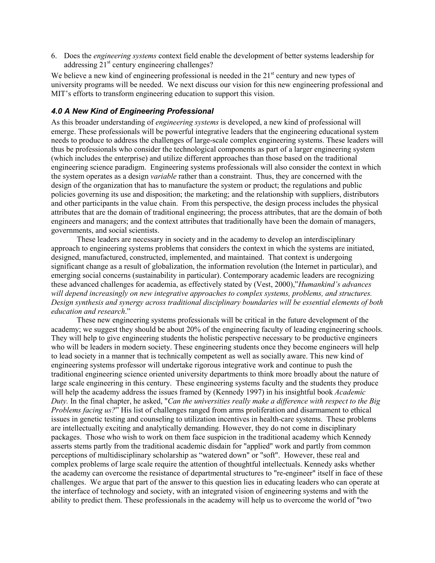6. Does the *engineering systems* context field enable the development of better systems leadership for addressing  $21<sup>st</sup>$  century engineering challenges?

We believe a new kind of engineering professional is needed in the 21<sup>st</sup> century and new types of university programs will be needed. We next discuss our vision for this new engineering professional and MIT's efforts to transform engineering education to support this vision.

## 4.0 A New Kind of Engineering Professional

As this broader understanding of *engineering systems* is developed, a new kind of professional will emerge. These professionals will be powerful integrative leaders that the engineering educational system needs to produce to address the challenges of large-scale complex engineering systems. These leaders will thus be professionals who consider the technological components as part of a larger engineering system (which includes the enterprise) and utilize different approaches than those based on the traditional engineering science paradigm. Engineering systems professionals will also consider the context in which the system operates as a design *variable* rather than a constraint. Thus, they are concerned with the design of the organization that has to manufacture the system or product; the regulations and public policies governing its use and disposition; the marketing; and the relationship with suppliers, distributors and other participants in the value chain. From this perspective, the design process includes the physical attributes that are the domain of traditional engineering; the process attributes, that are the domain of both engineers and managers; and the context attributes that traditionally have been the domain of managers, governments, and social scientists.

These leaders are necessary in society and in the academy to develop an interdisciplinary approach to engineering systems problems that considers the context in which the systems are initiated, designed, manufactured, constructed, implemented, and maintained. That context is undergoing significant change as a result of globalization, the information revolution (the Internet in particular), and emerging social concerns (sustainability in particular). Contemporary academic leaders are recognizing these advanced challenges for academia, as effectively stated by (Vest, 2000),"*Humankind's advances will depend increasingly on new integrative approaches to complex systems, problems, and structures. Design synthesis and synergy across traditional disciplinary boundaries will be essential elements of both education and research*."

These new engineering systems professionals will be critical in the future development of the academy; we suggest they should be about 20% of the engineering faculty of leading engineering schools. They will help to give engineering students the holistic perspective necessary to be productive engineers who will be leaders in modern society. These engineering students once they become engineers will help to lead society in a manner that is technically competent as well as socially aware. This new kind of engineering systems professor will undertake rigorous integrative work and continue to push the traditional engineering science oriented university departments to think more broadly about the nature of large scale engineering in this century. These engineering systems faculty and the students they produce will help the academy address the issues framed by (Kennedy 1997) in his insightful book *Academic Duty.* In the final chapter, he asked, "*Can the universities really make a difference with respect to the Big Problems facing us?*" His list of challenges ranged from arms proliferation and disarmament to ethical issues in genetic testing and counseling to utilization incentives in health-care systems. These problems are intellectually exciting and analytically demanding. However, they do not come in disciplinary packages. Those who wish to work on them face suspicion in the traditional academy which Kennedy asserts stems partly from the traditional academic disdain for "applied" work and partly from common perceptions of multidisciplinary scholarship as "watered down" or "soft". However, these real and complex problems of large scale require the attention of thoughtful intellectuals. Kennedy asks whether the academy can overcome the resistance of departmental structures to "re-engineer" itself in face of these challenges. We argue that part of the answer to this question lies in educating leaders who can operate at the interface of technology and society, with an integrated vision of engineering systems and with the ability to predict them. These professionals in the academy will help us to overcome the world of "two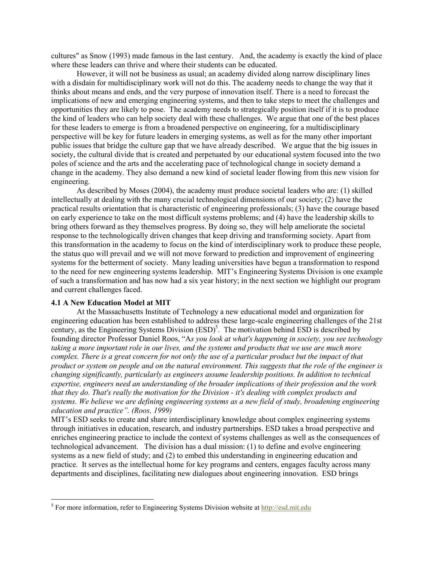cultures" as Snow (1993) made famous in the last century. And, the academy is exactly the kind of place where these leaders can thrive and where their students can be educated.

However, it will not be business as usual; an academy divided along narrow disciplinary lines with a disdain for multidisciplinary work will not do this. The academy needs to change the way that it thinks about means and ends, and the very purpose of innovation itself. There is a need to forecast the implications of new and emerging engineering systems, and then to take steps to meet the challenges and opportunities they are likely to pose. The academy needs to strategically position itself if it is to produce the kind of leaders who can help society deal with these challenges. We argue that one of the best places for these leaders to emerge is from a broadened perspective on engineering, for a multidisciplinary perspective will be key for future leaders in emerging systems, as well as for the many other important public issues that bridge the culture gap that we have already described. We argue that the big issues in society, the cultural divide that is created and perpetuated by our educational system focused into the two poles of science and the arts and the accelerating pace of technological change in society demand a change in the academy. They also demand a new kind of societal leader flowing from this new vision for engineering.

As described by Moses (2004), the academy must produce societal leaders who are: (1) skilled intellectually at dealing with the many crucial technological dimensions of our society; (2) have the practical results orientation that is characteristic of engineering professionals; (3) have the courage based on early experience to take on the most difficult systems problems; and (4) have the leadership skills to bring others forward as they themselves progress. By doing so, they will help ameliorate the societal response to the technologically driven changes that keep driving and transforming society. Apart from this transformation in the academy to focus on the kind of interdisciplinary work to produce these people, the status quo will prevail and we will not move forward to prediction and improvement of engineering systems for the betterment of society. Many leading universities have begun a transformation to respond to the need for new engineering systems leadership. MIT's Engineering Systems Division is one example of such a transformation and has now had a six year history; in the next section we highlight our program and current challenges faced.

#### 4.1 A New Education Model at MIT

 $\overline{a}$ 

At the Massachusetts Institute of Technology a new educational model and organization for engineering education has been established to address these large-scale engineering challenges of the 21st century, as the Engineering Systems Division (ESD)<sup>5</sup>. The motivation behind ESD is described by founding director Professor Daniel Roos, "A*s you look at what's happening in society, you see technology taking a more important role in our lives, and the systems and products that we use are much more complex. There is a great concern for not only the use of a particular product but the impact of that product or system on people and on the natural environment. This suggests that the role of the engineer is changing significantly, particularly as engineers assume leadership positions. In addition to technical expertise, engineers need an understanding of the broader implications of their profession and the work that they do. That's really the motivation for the Division - it's dealing with complex products and systems. We believe we are defining engineering systems as a new field of study, broadening engineering education and practice". (Roos, 1999)* 

MIT's ESD seeks to create and share interdisciplinary knowledge about complex engineering systems through initiatives in education, research, and industry partnerships. ESD takes a broad perspective and enriches engineering practice to include the context of systems challenges as well as the consequences of technological advancement. The division has a dual mission: (1) to define and evolve engineering systems as a new field of study; and (2) to embed this understanding in engineering education and practice. It serves as the intellectual home for key programs and centers, engages faculty across many departments and disciplines, facilitating new dialogues about engineering innovation. ESD brings

<sup>&</sup>lt;sup>5</sup> For more information, refer to Engineering Systems Division website at http://esd.mit.edu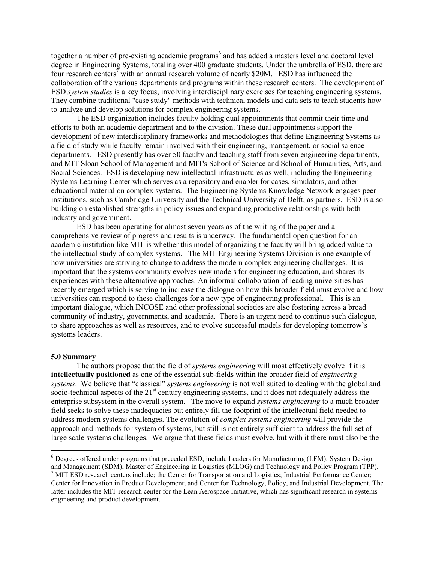together a number of pre-existing academic programs<sup>6</sup> and has added a masters level and doctoral level degree in Engineering Systems, totaling over 400 graduate students. Under the umbrella of ESD, there are four research centers<sup>7</sup> with an annual research volume of nearly \$20M. ESD has influenced the collaboration of the various departments and programs within these research centers. The development of ESD *system studies* is a key focus, involving interdisciplinary exercises for teaching engineering systems. They combine traditional "case study" methods with technical models and data sets to teach students how to analyze and develop solutions for complex engineering systems.

The ESD organization includes faculty holding dual appointments that commit their time and efforts to both an academic department and to the division. These dual appointments support the development of new interdisciplinary frameworks and methodologies that define Engineering Systems as a field of study while faculty remain involved with their engineering, management, or social science departments. ESD presently has over 50 faculty and teaching staff from seven engineering departments, and MIT Sloan School of Management and MIT's School of Science and School of Humanities, Arts, and Social Sciences. ESD is developing new intellectual infrastructures as well, including the Engineering Systems Learning Center which serves as a repository and enabler for cases, simulators, and other educational material on complex systems. The Engineering Systems Knowledge Network engages peer institutions, such as Cambridge University and the Technical University of Delft, as partners. ESD is also building on established strengths in policy issues and expanding productive relationships with both industry and government.

ESD has been operating for almost seven years as of the writing of the paper and a comprehensive review of progress and results is underway. The fundamental open question for an academic institution like MIT is whether this model of organizing the faculty will bring added value to the intellectual study of complex systems. The MIT Engineering Systems Division is one example of how universities are striving to change to address the modern complex engineering challenges. It is important that the systems community evolves new models for engineering education, and shares its experiences with these alternative approaches. An informal collaboration of leading universities has recently emerged which is serving to increase the dialogue on how this broader field must evolve and how universities can respond to these challenges for a new type of engineering professional. This is an important dialogue, which INCOSE and other professional societies are also fostering across a broad community of industry, governments, and academia. There is an urgent need to continue such dialogue, to share approaches as well as resources, and to evolve successful models for developing tomorrow's systems leaders.

#### 5.0 Summary

 $\overline{a}$ 

The authors propose that the field of *systems engineering* will most effectively evolve if it is intellectually positioned as one of the essential sub-fields within the broader field of *engineering systems*. We believe that "classical" *systems engineering* is not well suited to dealing with the global and socio-technical aspects of the 21<sup>st</sup> century engineering systems, and it does not adequately address the enterprise subsystem in the overall system. The move to expand *systems engineering* to a much broader field seeks to solve these inadequacies but entirely fill the footprint of the intellectual field needed to address modern systems challenges. The evolution of *complex systems engineering* will provide the approach and methods for system of systems, but still is not entirely sufficient to address the full set of large scale systems challenges. We argue that these fields must evolve, but with it there must also be the

<sup>&</sup>lt;sup>6</sup> Degrees offered under programs that preceded ESD, include Leaders for Manufacturing (LFM), System Design and Management (SDM), Master of Engineering in Logistics (MLOG) and Technology and Policy Program (TPP).

 $<sup>7</sup>$  MIT ESD research centers include; the Center for Transportation and Logistics; Industrial Performance Center;</sup> Center for Innovation in Product Development; and Center for Technology, Policy, and Industrial Development. The latter includes the MIT research center for the Lean Aerospace Initiative, which has significant research in systems engineering and product development.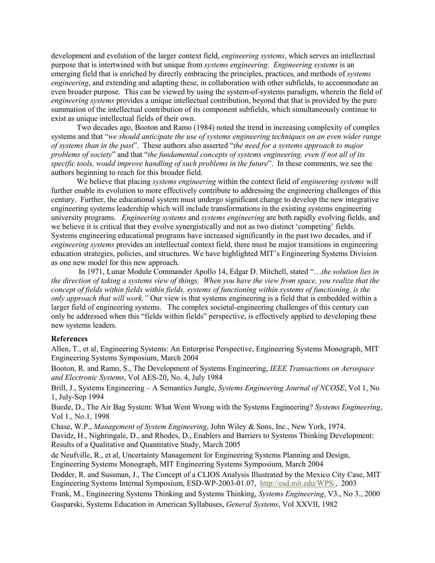development and evolution of the larger context field, *engineering systems*, which serves an intellectual purpose that is intertwined with but unique from *systems engineering. Engineering systems* is an emerging field that is enriched by directly embracing the principles, practices, and methods of *systems engineering*, and extending and adapting these, in collaboration with other subfields, to accommodate an even broader purpose. This can be viewed by using the system-of-systems paradigm, wherein the field of *engineering systems* provides a unique intellectual contribution, beyond that that is provided by the pure summation of the intellectual contribution of its component subfields, which simultaneously continue to exist as unique intellectual fields of their own.

Two decades ago, Booton and Ramo (1984) noted the trend in increasing complexity of complex systems and that "*we should anticipate the use of systems engineering techniques on an even wider range of systems than in the past*". These authors also asserted "*the need for a systems approach to major problems of society*" and that "*the fundamental concepts of systems engineering, even if not all of its specific tools, would improve handling of such problems in the future*". In these comments, we see the authors beginning to reach for this broader field.

We believe that placing *systems engineering* within the context field of *engineering systems* will further enable its evolution to more effectively contribute to addressing the engineering challenges of this century. Further, the educational system must undergo significant change to develop the new integrative engineering systems leadership which will include transformations in the existing systems engineering university programs. *Engineering systems* and *systems engineering* are both rapidly evolving fields, and we believe it is critical that they evolve synergistically and not as two distinct 'competing' fields. Systems engineering educational programs have increased significantly in the past two decades, and if *engineering systems* provides an intellectual context field, there must be major transitions in engineering education strategies, policies, and structures. We have highlighted MIT's Engineering Systems Division as one new model for this new approach.

 In 1971, Lunar Module Commander Apollo 14, Edgar D. Mitchell, stated "…*the solution lies in the direction of taking a systems view of things. When you have the view from space, you realize that the concept of fields within fields within fields, systems of functioning within systems of functioning, is the only approach that will work."* Our view is that systems engineering is a field that is embedded within a larger field of engineering systems. The complex societal-engineering challenges of this century can only be addressed when this "fields within fields" perspective, is effectively applied to developing these new systems leaders.

#### **References**

Allen, T., et al, Engineering Systems: An Enterprise Perspective, Engineering Systems Monograph, MIT Engineering Systems Symposium, March 2004

Booton, R. and Ramo, S., The Development of Systems Engineering, *IEEE Transactions on Aerospace and Electronic Systems*, Vol AES-20, No. 4, July 1984

Brill, J., Systems Engineering – A Semantics Jungle, *Systems Engineering Journal of NCOSE*, Vol 1, No 1, July-Sep 1994

Buede, D., The Air Bag System: What Went Wrong with the Systems Engineering? *Systems Engineering*, Vol 1., No.1, 1998

Chase, W.P., *Management of System Engineering*, John Wiley & Sons, Inc., New York, 1974.

Davidz, H., Nightingale, D., and Rhodes, D., Enablers and Barriers to Systems Thinking Development: Results of a Qualitative and Quantitative Study, March 2005

de Neufville, R., et al, Uncertainty Management for Engineering Systems Planning and Design, Engineering Systems Monograph, MIT Engineering Systems Symposium, March 2004

Dodder, R. and Sussman, J., The Concept of a CLIOS Analysis Illustrated by the Mexico City Case, MIT Engineering Systems Internal Symposium, ESD-WP-2003-01.07, http://esd.mit.edu/WPS/, 2003

Frank, M., Engineering Systems Thinking and Systems Thinking, *Systems Engineering*, V3., No 3., 2000 Gasparski, Systems Education in American Syllabuses, *General Systems*, Vol XXVII, 1982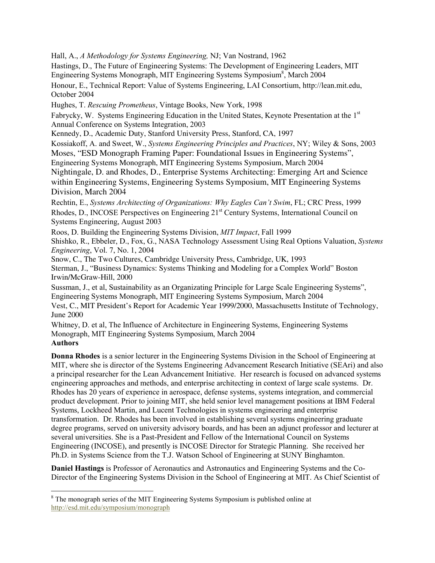Hall, A., *A Methodology for Systems Engineering,* NJ; Van Nostrand, 1962

Hastings, D., The Future of Engineering Systems: The Development of Engineering Leaders, MIT Engineering Systems Monograph, MIT Engineering Systems Symposium<sup>8</sup>, March 2004 Honour, E., Technical Report: Value of Systems Engineering, LAI Consortium, http://lean.mit.edu, October 2004

Hughes, T. *Rescuing Prometheus*, Vintage Books, New York, 1998

Fabrycky, W. Systems Engineering Education in the United States, Keynote Presentation at the 1<sup>st</sup> Annual Conference on Systems Integration, 2003

Kennedy, D., Academic Duty, Stanford University Press, Stanford, CA, 1997

Kossiakoff, A. and Sweet, W., *Systems Engineering Principles and Practices*, NY; Wiley & Sons, 2003

Moses, "ESD Monograph Framing Paper: Foundational Issues in Engineering Systems", Engineering Systems Monograph, MIT Engineering Systems Symposium, March 2004

Nightingale, D. and Rhodes, D., Enterprise Systems Architecting: Emerging Art and Science within Engineering Systems, Engineering Systems Symposium, MIT Engineering Systems Division, March 2004

Rechtin, E., *Systems Architecting of Organizations: Why Eagles Can't Swim*, FL; CRC Press, 1999 Rhodes, D., INCOSE Perspectives on Engineering 21<sup>st</sup> Century Systems, International Council on Systems Engineering, August 2003

Roos, D. Building the Engineering Systems Division, *MIT Impact*, Fall 1999

Shishko, R., Ebbeler, D., Fox, G., NASA Technology Assessment Using Real Options Valuation, *Systems Engineering*, Vol. 7, No. 1, 2004

Snow, C., The Two Cultures, Cambridge University Press, Cambridge, UK, 1993 Sterman, J., "Business Dynamics: Systems Thinking and Modeling for a Complex World" Boston Irwin/McGraw-Hill, 2000

Sussman, J., et al, Sustainability as an Organizating Principle for Large Scale Engineering Systems", Engineering Systems Monograph, MIT Engineering Systems Symposium, March 2004

Vest, C., MIT President's Report for Academic Year 1999/2000, Massachusetts Institute of Technology, June 2000

Whitney, D. et al, The Influence of Architecture in Engineering Systems, Engineering Systems Monograph, MIT Engineering Systems Symposium, March 2004 Authors

Donna Rhodes is a senior lecturer in the Engineering Systems Division in the School of Engineering at MIT, where she is director of the Systems Engineering Advancement Research Initiative (SEAri) and also a principal researcher for the Lean Advancement Initiative. Her research is focused on advanced systems engineering approaches and methods, and enterprise architecting in context of large scale systems. Dr. Rhodes has 20 years of experience in aerospace, defense systems, systems integration, and commercial product development. Prior to joining MIT, she held senior level management positions at IBM Federal Systems, Lockheed Martin, and Lucent Technologies in systems engineering and enterprise transformation. Dr. Rhodes has been involved in establishing several systems engineering graduate degree programs, served on university advisory boards, and has been an adjunct professor and lecturer at several universities. She is a Past-President and Fellow of the International Council on Systems Engineering (INCOSE), and presently is INCOSE Director for Strategic Planning. She received her Ph.D. in Systems Science from the T.J. Watson School of Engineering at SUNY Binghamton.

Daniel Hastings is Professor of Aeronautics and Astronautics and Engineering Systems and the Co-Director of the Engineering Systems Division in the School of Engineering at MIT. As Chief Scientist of

<sup>&</sup>lt;sup>8</sup> The monograph series of the MIT Engineering Systems Symposium is published online at http://esd.mit.edu/symposium/monograph